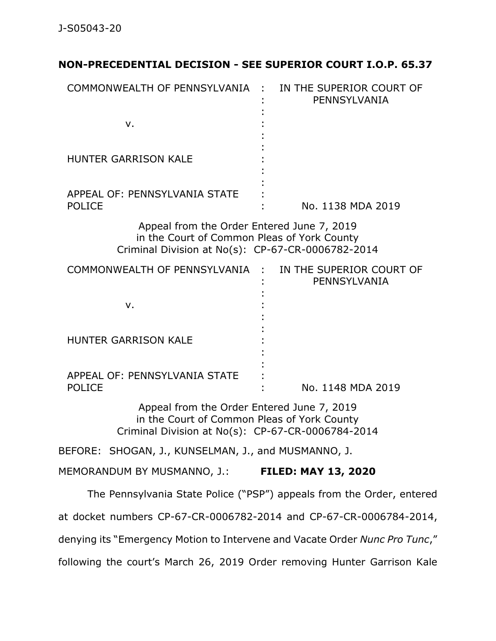## **NON-PRECEDENTIAL DECISION - SEE SUPERIOR COURT I.O.P. 65.37**

| COMMONWEALTH OF PENNSYLVANIA :                                                                                                                 | IN THE SUPERIOR COURT OF<br>PENNSYLVANIA                              |
|------------------------------------------------------------------------------------------------------------------------------------------------|-----------------------------------------------------------------------|
| v.                                                                                                                                             |                                                                       |
| <b>HUNTER GARRISON KALE</b>                                                                                                                    |                                                                       |
| APPEAL OF: PENNSYLVANIA STATE<br><b>POLICE</b>                                                                                                 | No. 1138 MDA 2019                                                     |
| Appeal from the Order Entered June 7, 2019<br>in the Court of Common Pleas of York County<br>Criminal Division at No(s): CP-67-CR-0006782-2014 |                                                                       |
| COMMONWEALTH OF PENNSYLVANIA :                                                                                                                 | IN THE SUPERIOR COURT OF<br>PENNSYLVANIA                              |
| v.                                                                                                                                             |                                                                       |
| HUNTER GARRISON KALE                                                                                                                           |                                                                       |
| APPEAL OF: PENNSYLVANIA STATE<br><b>POLICE</b>                                                                                                 | No. 1148 MDA 2019                                                     |
| Appeal from the Order Entered June 7, 2019<br>in the Court of Common Pleas of York County<br>Criminal Division at No(s): CP-67-CR-0006784-2014 |                                                                       |
| BEFORE: SHOGAN, J., KUNSELMAN, J., and MUSMANNO, J.                                                                                            |                                                                       |
| MEMORANDUM BY MUSMANNO, J.: FILED: MAY 13, 2020                                                                                                |                                                                       |
|                                                                                                                                                | The Pennsylvania State Police ("PSP") appeals from the Order, entered |

at docket numbers CP-67-CR-0006782-2014 and CP-67-CR-0006784-2014, denying its "Emergency Motion to Intervene and Vacate Order *Nunc Pro Tunc*," following the court's March 26, 2019 Order removing Hunter Garrison Kale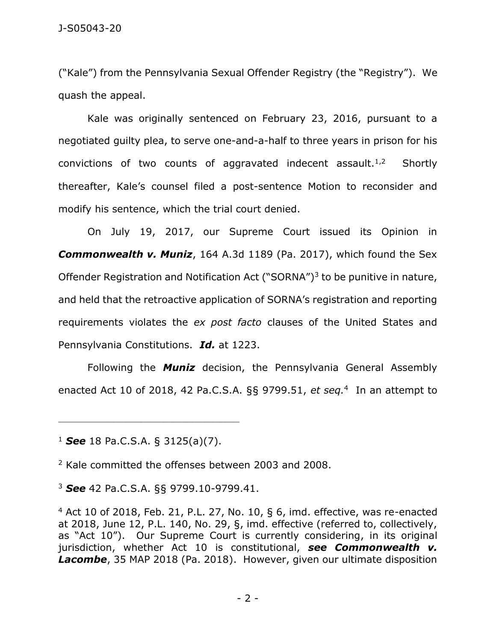("Kale") from the Pennsylvania Sexual Offender Registry (the "Registry"). We quash the appeal.

Kale was originally sentenced on February 23, 2016, pursuant to a negotiated guilty plea, to serve one-and-a-half to three years in prison for his convictions of two counts of aggravated indecent assault. $1,2$ **Shortly** thereafter, Kale's counsel filed a post-sentence Motion to reconsider and modify his sentence, which the trial court denied.

On July 19, 2017, our Supreme Court issued its Opinion in *Commonwealth v. Muniz*, 164 A.3d 1189 (Pa. 2017), which found the Sex Offender Registration and Notification Act ("SORNA") $3$  to be punitive in nature, and held that the retroactive application of SORNA's registration and reporting requirements violates the *ex post facto* clauses of the United States and Pennsylvania Constitutions. *Id.* at 1223.

Following the *Muniz* decision, the Pennsylvania General Assembly enacted Act 10 of 2018, 42 Pa.C.S.A. §§ 9799.51, *et seq.*<sup>4</sup> In an attempt to

<sup>1</sup> *See* 18 Pa.C.S.A. § 3125(a)(7).

\_\_\_\_\_\_\_\_\_\_\_\_\_\_\_\_\_\_\_\_\_\_\_\_\_\_\_\_\_\_\_\_\_\_\_\_\_\_\_\_\_\_\_\_

<sup>2</sup> Kale committed the offenses between 2003 and 2008.

<sup>3</sup> *See* 42 Pa.C.S.A. §§ 9799.10-9799.41.

 $4$  Act 10 of 2018, Feb. 21, P.L. 27, No. 10, § 6, imd. effective, was re-enacted at 2018, June 12, P.L. 140, No. 29, §, imd. effective (referred to, collectively, as "Act 10"). Our Supreme Court is currently considering, in its original jurisdiction, whether Act 10 is constitutional, *see Commonwealth v. Lacombe*, 35 MAP 2018 (Pa. 2018). However, given our ultimate disposition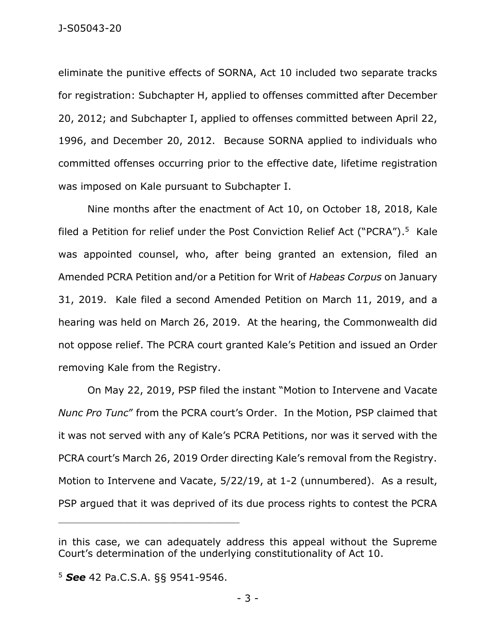eliminate the punitive effects of SORNA, Act 10 included two separate tracks for registration: Subchapter H, applied to offenses committed after December 20, 2012; and Subchapter I, applied to offenses committed between April 22, 1996, and December 20, 2012. Because SORNA applied to individuals who committed offenses occurring prior to the effective date, lifetime registration was imposed on Kale pursuant to Subchapter I.

Nine months after the enactment of Act 10, on October 18, 2018, Kale filed a Petition for relief under the Post Conviction Relief Act ("PCRA").<sup>5</sup> Kale was appointed counsel, who, after being granted an extension, filed an Amended PCRA Petition and/or a Petition for Writ of *Habeas Corpus* on January 31, 2019. Kale filed a second Amended Petition on March 11, 2019, and a hearing was held on March 26, 2019. At the hearing, the Commonwealth did not oppose relief. The PCRA court granted Kale's Petition and issued an Order removing Kale from the Registry.

On May 22, 2019, PSP filed the instant "Motion to Intervene and Vacate *Nunc Pro Tunc*" from the PCRA court's Order. In the Motion, PSP claimed that it was not served with any of Kale's PCRA Petitions, nor was it served with the PCRA court's March 26, 2019 Order directing Kale's removal from the Registry. Motion to Intervene and Vacate, 5/22/19, at 1-2 (unnumbered). As a result, PSP argued that it was deprived of its due process rights to contest the PCRA

\_\_\_\_\_\_\_\_\_\_\_\_\_\_\_\_\_\_\_\_\_\_\_\_\_\_\_\_\_\_\_\_\_\_\_\_\_\_\_\_\_\_\_\_

in this case, we can adequately address this appeal without the Supreme Court's determination of the underlying constitutionality of Act 10.

<sup>5</sup> *See* 42 Pa.C.S.A. §§ 9541-9546.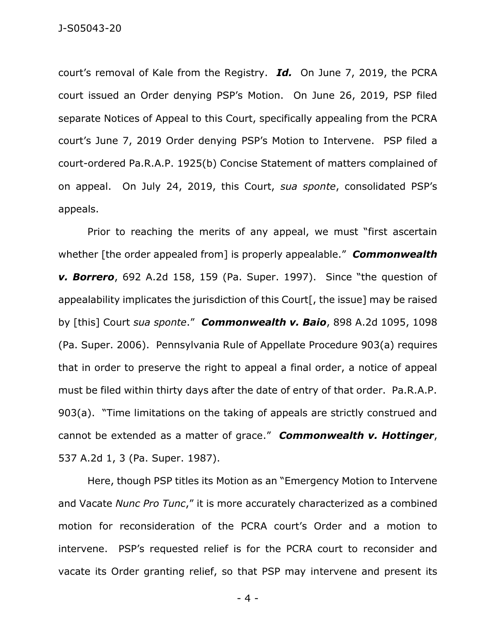court's removal of Kale from the Registry. *Id.* On June 7, 2019, the PCRA court issued an Order denying PSP's Motion. On June 26, 2019, PSP filed separate Notices of Appeal to this Court, specifically appealing from the PCRA court's June 7, 2019 Order denying PSP's Motion to Intervene. PSP filed a court-ordered Pa.R.A.P. 1925(b) Concise Statement of matters complained of on appeal. On July 24, 2019, this Court, *sua sponte*, consolidated PSP's appeals.

Prior to reaching the merits of any appeal, we must "first ascertain whether [the order appealed from] is properly appealable." *Commonwealth v. Borrero*, 692 A.2d 158, 159 (Pa. Super. 1997). Since "the question of appealability implicates the jurisdiction of this Court<sup>[</sup>, the issue] may be raised by [this] Court *sua sponte*." *Commonwealth v. Baio*, 898 A.2d 1095, 1098 (Pa. Super. 2006). Pennsylvania Rule of Appellate Procedure 903(a) requires that in order to preserve the right to appeal a final order, a notice of appeal must be filed within thirty days after the date of entry of that order. Pa.R.A.P. 903(a). "Time limitations on the taking of appeals are strictly construed and cannot be extended as a matter of grace." *Commonwealth v. Hottinger*, 537 A.2d 1, 3 (Pa. Super. 1987).

Here, though PSP titles its Motion as an "Emergency Motion to Intervene and Vacate *Nunc Pro Tunc*," it is more accurately characterized as a combined motion for reconsideration of the PCRA court's Order and a motion to intervene. PSP's requested relief is for the PCRA court to reconsider and vacate its Order granting relief, so that PSP may intervene and present its

- 4 -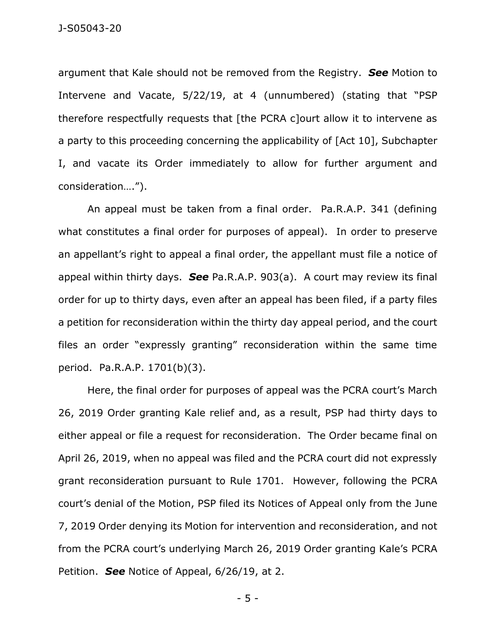argument that Kale should not be removed from the Registry. *See* Motion to Intervene and Vacate, 5/22/19, at 4 (unnumbered) (stating that "PSP therefore respectfully requests that [the PCRA c]ourt allow it to intervene as a party to this proceeding concerning the applicability of [Act 10], Subchapter I, and vacate its Order immediately to allow for further argument and consideration….").

An appeal must be taken from a final order. Pa.R.A.P. 341 (defining what constitutes a final order for purposes of appeal). In order to preserve an appellant's right to appeal a final order, the appellant must file a notice of appeal within thirty days. *See* Pa.R.A.P. 903(a). A court may review its final order for up to thirty days, even after an appeal has been filed, if a party files a petition for reconsideration within the thirty day appeal period, and the court files an order "expressly granting" reconsideration within the same time period. Pa.R.A.P. 1701(b)(3).

Here, the final order for purposes of appeal was the PCRA court's March 26, 2019 Order granting Kale relief and, as a result, PSP had thirty days to either appeal or file a request for reconsideration. The Order became final on April 26, 2019, when no appeal was filed and the PCRA court did not expressly grant reconsideration pursuant to Rule 1701. However, following the PCRA court's denial of the Motion, PSP filed its Notices of Appeal only from the June 7, 2019 Order denying its Motion for intervention and reconsideration, and not from the PCRA court's underlying March 26, 2019 Order granting Kale's PCRA Petition. *See* Notice of Appeal, 6/26/19, at 2.

- 5 -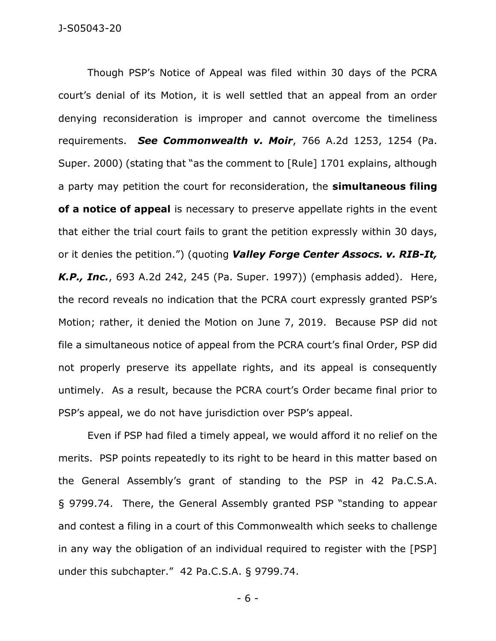Though PSP's Notice of Appeal was filed within 30 days of the PCRA court's denial of its Motion, it is well settled that an appeal from an order denying reconsideration is improper and cannot overcome the timeliness requirements. *See Commonwealth v. Moir*, 766 A.2d 1253, 1254 (Pa. Super. 2000) (stating that "as the comment to [Rule] 1701 explains, although a party may petition the court for reconsideration, the **simultaneous filing of a notice of appeal** is necessary to preserve appellate rights in the event that either the trial court fails to grant the petition expressly within 30 days, or it denies the petition.") (quoting *Valley Forge Center Assocs. v. RIB-It, K.P., Inc.*, 693 A.2d 242, 245 (Pa. Super. 1997)) (emphasis added). Here, the record reveals no indication that the PCRA court expressly granted PSP's Motion; rather, it denied the Motion on June 7, 2019. Because PSP did not file a simultaneous notice of appeal from the PCRA court's final Order, PSP did not properly preserve its appellate rights, and its appeal is consequently untimely. As a result, because the PCRA court's Order became final prior to PSP's appeal, we do not have jurisdiction over PSP's appeal.

Even if PSP had filed a timely appeal, we would afford it no relief on the merits. PSP points repeatedly to its right to be heard in this matter based on the General Assembly's grant of standing to the PSP in 42 Pa.C.S.A. § 9799.74. There, the General Assembly granted PSP "standing to appear and contest a filing in a court of this Commonwealth which seeks to challenge in any way the obligation of an individual required to register with the [PSP] under this subchapter." 42 Pa.C.S.A. § 9799.74.

- 6 -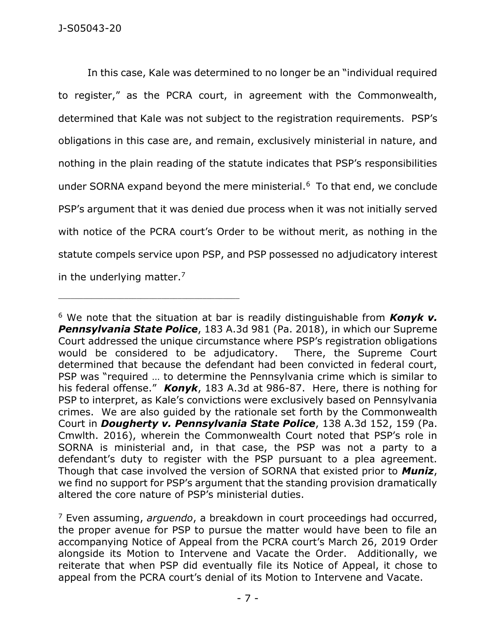\_\_\_\_\_\_\_\_\_\_\_\_\_\_\_\_\_\_\_\_\_\_\_\_\_\_\_\_\_\_\_\_\_\_\_\_\_\_\_\_\_\_\_\_

In this case, Kale was determined to no longer be an "individual required to register," as the PCRA court, in agreement with the Commonwealth, determined that Kale was not subject to the registration requirements. PSP's obligations in this case are, and remain, exclusively ministerial in nature, and nothing in the plain reading of the statute indicates that PSP's responsibilities under SORNA expand beyond the mere ministerial.<sup>6</sup> To that end, we conclude PSP's argument that it was denied due process when it was not initially served with notice of the PCRA court's Order to be without merit, as nothing in the statute compels service upon PSP, and PSP possessed no adjudicatory interest in the underlying matter. $7$ 

<sup>6</sup> We note that the situation at bar is readily distinguishable from *Konyk v. Pennsylvania State Police*, 183 A.3d 981 (Pa. 2018), in which our Supreme Court addressed the unique circumstance where PSP's registration obligations would be considered to be adjudicatory. There, the Supreme Court determined that because the defendant had been convicted in federal court, PSP was "required … to determine the Pennsylvania crime which is similar to his federal offense." *Konyk*, 183 A.3d at 986-87. Here, there is nothing for PSP to interpret, as Kale's convictions were exclusively based on Pennsylvania crimes. We are also guided by the rationale set forth by the Commonwealth Court in *Dougherty v. Pennsylvania State Police*, 138 A.3d 152, 159 (Pa. Cmwlth. 2016), wherein the Commonwealth Court noted that PSP's role in SORNA is ministerial and, in that case, the PSP was not a party to a defendant's duty to register with the PSP pursuant to a plea agreement. Though that case involved the version of SORNA that existed prior to *Muniz*, we find no support for PSP's argument that the standing provision dramatically altered the core nature of PSP's ministerial duties.

<sup>7</sup> Even assuming, *arguendo*, a breakdown in court proceedings had occurred, the proper avenue for PSP to pursue the matter would have been to file an accompanying Notice of Appeal from the PCRA court's March 26, 2019 Order alongside its Motion to Intervene and Vacate the Order. Additionally, we reiterate that when PSP did eventually file its Notice of Appeal, it chose to appeal from the PCRA court's denial of its Motion to Intervene and Vacate.